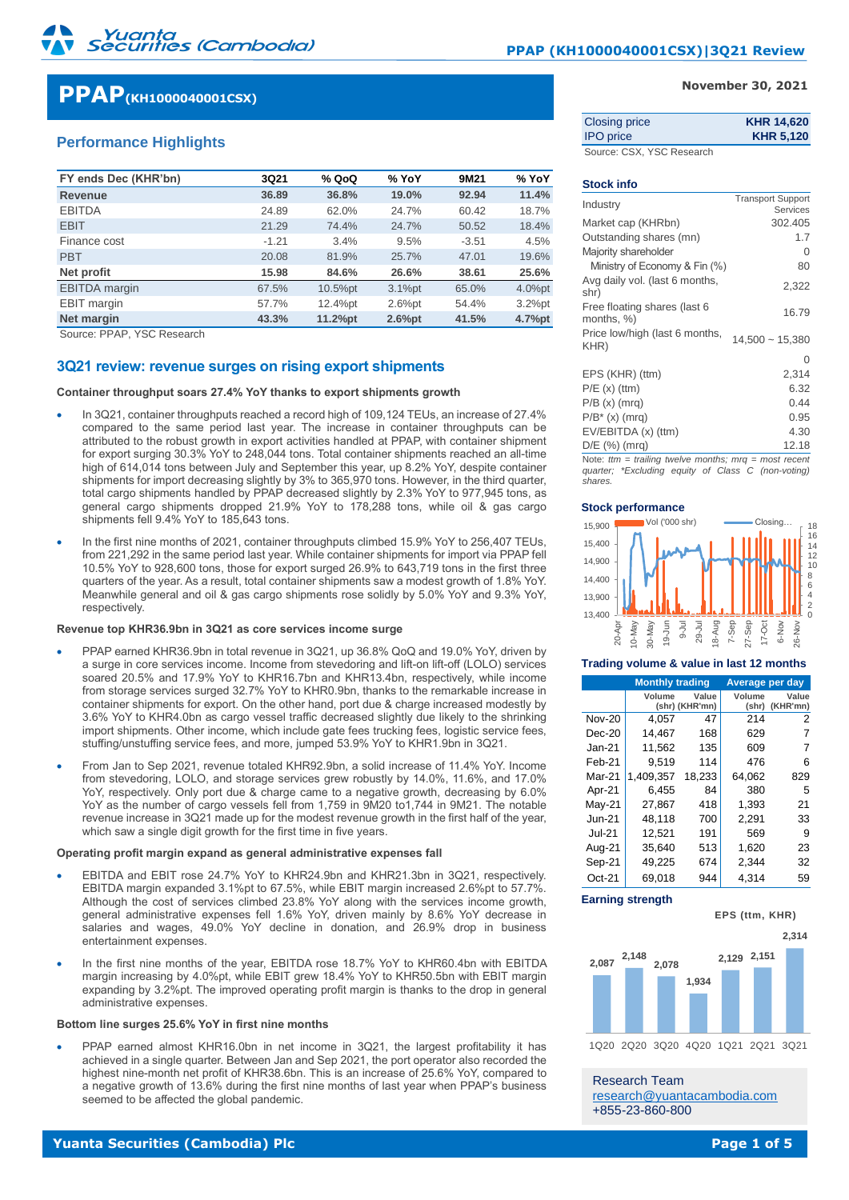# **PPAP(KH1000040001CSX)**

# **Performance Highlights**

| FY ends Dec (KHR'bn) | 3Q21    | % QoQ   | % YoY     | 9M21    | % YoY     |
|----------------------|---------|---------|-----------|---------|-----------|
| <b>Revenue</b>       | 36.89   | 36.8%   | 19.0%     | 92.94   | 11.4%     |
| <b>EBITDA</b>        | 24.89   | 62.0%   | 24.7%     | 60.42   | 18.7%     |
| <b>EBIT</b>          | 21.29   | 74.4%   | 24.7%     | 50.52   | 18.4%     |
| Finance cost         | $-1.21$ | 3.4%    | 9.5%      | $-3.51$ | 4.5%      |
| <b>PBT</b>           | 20.08   | 81.9%   | 25.7%     | 47.01   | 19.6%     |
| Net profit           | 15.98   | 84.6%   | 26.6%     | 38.61   | 25.6%     |
| <b>EBITDA</b> margin | 67.5%   | 10.5%pt | $3.1%$ pt | 65.0%   | 4.0%pt    |
| <b>EBIT</b> margin   | 57.7%   | 12.4%pt | $2.6%$ pt | 54.4%   | $3.2%$ pt |
| Net margin           | 43.3%   | 11.2%pt | $2.6%$ pt | 41.5%   | 4.7%pt    |

Source: PPAP, YSC Research

### **3Q21 review: revenue surges on rising export shipments**

**Container throughput soars 27.4% YoY thanks to export shipments growth**

- In 3Q21, container throughputs reached a record high of 109,124 TEUs, an increase of 27.4% compared to the same period last year. The increase in container throughputs can be attributed to the robust growth in export activities handled at PPAP, with container shipment for export surging 30.3% YoY to 248,044 tons. Total container shipments reached an all-time high of 614,014 tons between July and September this year, up 8.2% YoY, despite container shipments for import decreasing slightly by 3% to 365,970 tons. However, in the third quarter, total cargo shipments handled by PPAP decreased slightly by 2.3% YoY to 977,945 tons, as general cargo shipments dropped 21.9% YoY to 178,288 tons, while oil & gas cargo shipments fell 9.4% YoY to 185,643 tons.
- In the first nine months of 2021, container throughputs climbed 15.9% YoY to 256,407 TEUs, from 221,292 in the same period last year. While container shipments for import via PPAP fell 10.5% YoY to 928,600 tons, those for export surged 26.9% to 643,719 tons in the first three quarters of the year. As a result, total container shipments saw a modest growth of 1.8% YoY. Meanwhile general and oil & gas cargo shipments rose solidly by 5.0% YoY and 9.3% YoY, **respectively**

#### **Revenue top KHR36.9bn in 3Q21 as core services income surge**

- PPAP earned KHR36.9bn in total revenue in 3Q21, up 36.8% QoQ and 19.0% YoY, driven by a surge in core services income. Income from stevedoring and lift-on lift-off (LOLO) services soared 20.5% and 17.9% YoY to KHR16.7bn and KHR13.4bn, respectively, while income from storage services surged 32.7% YoY to KHR0.9bn, thanks to the remarkable increase in container shipments for export. On the other hand, port due & charge increased modestly by 3.6% YoY to KHR4.0bn as cargo vessel traffic decreased slightly due likely to the shrinking import shipments. Other income, which include gate fees trucking fees, logistic service fees, stuffing/unstuffing service fees, and more, jumped 53.9% YoY to KHR1.9bn in 3Q21.
- From Jan to Sep 2021, revenue totaled KHR92.9bn, a solid increase of 11.4% YoY. Income from stevedoring, LOLO, and storage services grew robustly by 14.0%, 11.6%, and 17.0% YoY, respectively. Only port due & charge came to a negative growth, decreasing by 6.0% YoY as the number of cargo vessels fell from 1,759 in 9M20 to1,744 in 9M21. The notable revenue increase in 3Q21 made up for the modest revenue growth in the first half of the year, which saw a single digit growth for the first time in five years.

#### **Operating profit margin expand as general administrative expenses fall**

- EBITDA and EBIT rose 24.7% YoY to KHR24.9bn and KHR21.3bn in 3Q21, respectively. EBITDA margin expanded 3.1%pt to 67.5%, while EBIT margin increased 2.6%pt to 57.7%. Although the cost of services climbed 23.8% YoY along with the services income growth, general administrative expenses fell 1.6% YoY, driven mainly by 8.6% YoY decrease in salaries and wages, 49.0% YoY decline in donation, and 26.9% drop in business entertainment expenses.
- In the first nine months of the year, EBITDA rose 18.7% YoY to KHR60.4bn with EBITDA margin increasing by 4.0%pt, while EBIT grew 18.4% YoY to KHR50.5bn with EBIT margin expanding by 3.2%pt. The improved operating profit margin is thanks to the drop in general administrative expenses.

#### **Bottom line surges 25.6% YoY in first nine months**

• PPAP earned almost KHR16.0bn in net income in 3Q21, the largest profitability it has achieved in a single quarter. Between Jan and Sep 2021, the port operator also recorded the highest nine-month net profit of KHR38.6bn. This is an increase of 25.6% YoY, compared to a negative growth of 13.6% during the first nine months of last year when PPAP's business seemed to be affected the global pandemic.

#### **November 30, 2021**

| <b>Closing price</b> | <b>KHR 14,620</b> |
|----------------------|-------------------|
| <b>IPO</b> price     | <b>KHR 5,120</b>  |
|                      |                   |

Source: CSX, YSC Research

| <b>Stock info</b>                          |                                      |
|--------------------------------------------|--------------------------------------|
| Industry                                   | <b>Transport Support</b><br>Services |
| Market cap (KHRbn)                         | 302.405                              |
| Outstanding shares (mn)                    | 1.7                                  |
| Majority shareholder                       | 0                                    |
| Ministry of Economy & Fin (%)              | 80                                   |
| Avg daily vol. (last 6 months,<br>shr)     | 2,322                                |
| Free floating shares (last 6<br>months, %) | 16.79                                |
| Price low/high (last 6 months,<br>KHR)     | $14,500 - 15,380$                    |
|                                            | 0                                    |
| EPS (KHR) (ttm)                            | 2,314                                |
| $P/E(x)$ (ttm)                             | 6.32                                 |
| $P/B(x)$ (mrq)                             | 0.44                                 |
| $P/B^*$ (x) (mrg)                          | 0.95                                 |
| $EV/EBITDA(x)$ (ttm)                       | 4.30                                 |
| $D/E$ (%) (mrg)                            | 12.18                                |

Note: *ttm = trailing twelve months; mrq = most recent quarter; \*Excluding equity of Class C (non-voting) shares.*

#### **Stock performance**



#### **Trading volume & value in last 12 months**

|               | <b>Monthly trading</b> |                         | Average per day |                   |
|---------------|------------------------|-------------------------|-----------------|-------------------|
|               | Volume                 | Value<br>(shr) (KHR'mn) | Volume<br>(shr) | Value<br>(KHR'mn) |
| <b>Nov-20</b> | 4,057                  | 47                      | 214             | 2                 |
| $Dec-20$      | 14.467                 | 168                     | 629             | 7                 |
| Jan-21        | 11,562                 | 135                     | 609             | 7                 |
| Feb-21        | 9.519                  | 114                     | 476             | 6                 |
| Mar-21        | 1.409.357              | 18,233                  | 64,062          | 829               |
| Apr-21        | 6.455                  | 84                      | 380             | 5                 |
| May-21        | 27.867                 | 418                     | 1,393           | 21                |
| $Jun-21$      | 48,118                 | 700                     | 2,291           | 33                |
| <b>Jul-21</b> | 12,521                 | 191                     | 569             | 9                 |
| Aug-21        | 35.640                 | 513                     | 1,620           | 23                |
| Sep-21        | 49.225                 | 674                     | 2.344           | 32                |
| $Oct-21$      | 69.018                 | 944                     | 4.314           | 59                |

#### **Earning strength**





1Q20 2Q20 3Q20 4Q20 1Q21 2Q21 3Q21

Research Team [research@yuantacambodia.com](mailto:research@yuantacambodia.com) +855-23-860-800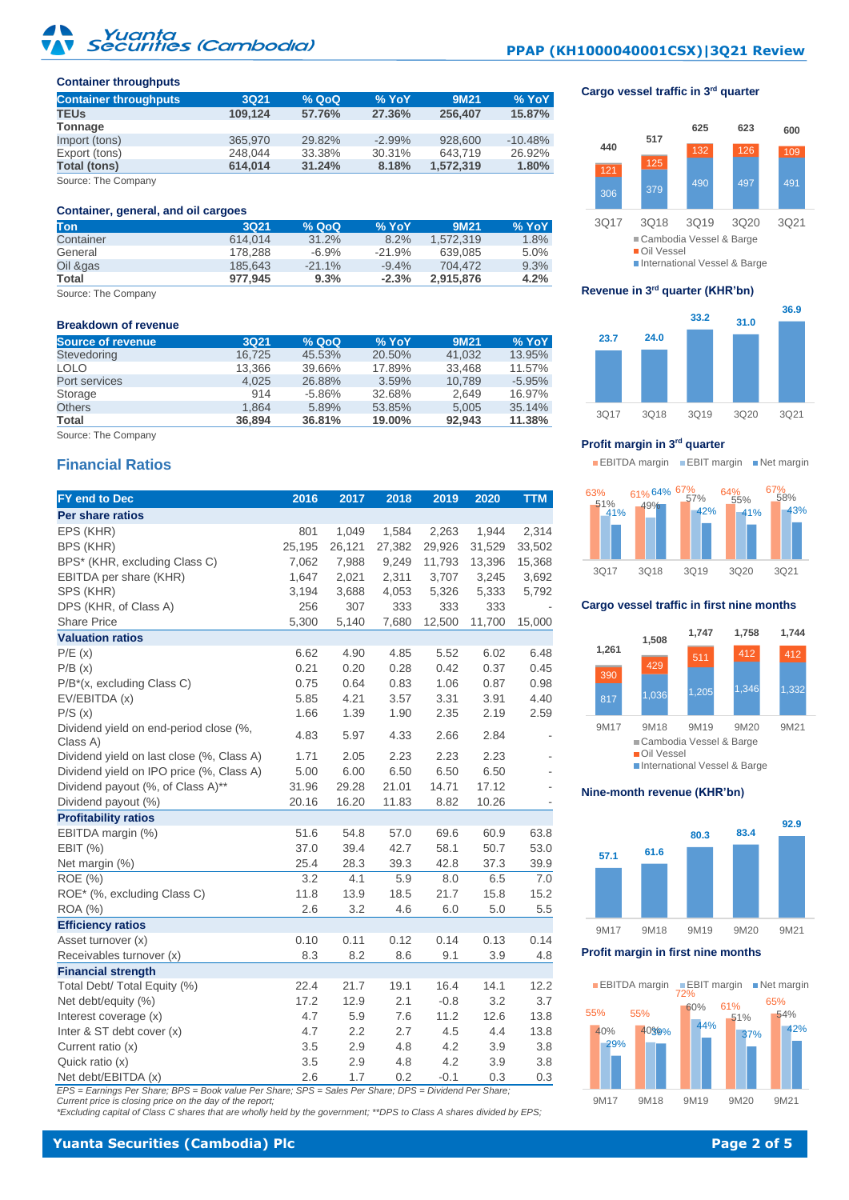# Yuanta<br>ecuriti<mark>es (Cambodia)</mark>

# **PPAP (KH1000040001CSX)|3Q21 Review**

Cargo vessel traffic in 3<sup>rd</sup> quarter

#### **Container throughputs**

| <b>Container throughputs</b> | <b>3Q21</b> | % QoQ  | % YoY     | 9M21      | $%$ YoY   |
|------------------------------|-------------|--------|-----------|-----------|-----------|
| <b>TEUs</b>                  | 109.124     | 57.76% | 27.36%    | 256.407   | 15.87%    |
| Tonnage                      |             |        |           |           |           |
| Import (tons)                | 365,970     | 29.82% | $-2.99\%$ | 928,600   | $-10.48%$ |
| Export (tons)                | 248.044     | 33.38% | 30.31%    | 643.719   | 26.92%    |
| <b>Total (tons)</b>          | 614.014     | 31.24% | 8.18%     | 1,572,319 | 1.80%     |
|                              |             |        |           |           |           |

Source: The Company

#### **Container, general, and oil cargoes**

| <b>Ton</b> | 3021    | % Q <sub>0</sub> Q | % YoY    | 9M21      | <b>%YoY</b> |
|------------|---------|--------------------|----------|-----------|-------------|
| Container  | 614.014 | 31.2%              | 8.2%     | 1.572.319 | 1.8%        |
| General    | 178.288 | $-6.9%$            | $-21.9%$ | 639.085   | 5.0%        |
| Oil &gas   | 185.643 | $-21.1%$           | $-9.4%$  | 704.472   | 9.3%        |
| Total      | 977.945 | 9.3%               | $-2.3%$  | 2.915.876 | 4.2%        |

Source: The Company

#### **Breakdown of revenue**

| Source of revenue | 3Q21   | % Q <sub>0</sub> Q | % YoY  | 9M21   | % YoY    |
|-------------------|--------|--------------------|--------|--------|----------|
| Stevedoring       | 16.725 | 45.53%             | 20.50% | 41.032 | 13.95%   |
| <b>LOLO</b>       | 13.366 | 39.66%             | 17.89% | 33.468 | 11.57%   |
| Port services     | 4.025  | 26.88%             | 3.59%  | 10.789 | $-5.95%$ |
| Storage           | 914    | $-5.86\%$          | 32.68% | 2.649  | 16.97%   |
| <b>Others</b>     | 1.864  | 5.89%              | 53.85% | 5.005  | 35.14%   |
| <b>Total</b>      | 36.894 | 36.81%             | 19.00% | 92.943 | 11.38%   |
|                   |        |                    |        |        |          |

Source: The Company

# **Financial Ratios**

| FY end to Dec                                      | 2016   | 2017   | 2018   | 2019   | 2020   | <b>TTM</b> |
|----------------------------------------------------|--------|--------|--------|--------|--------|------------|
| Per share ratios                                   |        |        |        |        |        |            |
| EPS (KHR)                                          | 801    | 1,049  | 1,584  | 2,263  | 1,944  | 2,314      |
| BPS (KHR)                                          | 25,195 | 26,121 | 27,382 | 29,926 | 31,529 | 33,502     |
| BPS* (KHR, excluding Class C)                      | 7,062  | 7,988  | 9,249  | 11,793 | 13,396 | 15,368     |
| EBITDA per share (KHR)                             | 1,647  | 2,021  | 2,311  | 3,707  | 3,245  | 3,692      |
| SPS (KHR)                                          | 3,194  | 3,688  | 4,053  | 5,326  | 5,333  | 5,792      |
| DPS (KHR, of Class A)                              | 256    | 307    | 333    | 333    | 333    |            |
| <b>Share Price</b>                                 | 5,300  | 5,140  | 7,680  | 12,500 | 11,700 | 15,000     |
| <b>Valuation ratios</b>                            |        |        |        |        |        |            |
| P/E(x)                                             | 6.62   | 4.90   | 4.85   | 5.52   | 6.02   | 6.48       |
| P/B(x)                                             | 0.21   | 0.20   | 0.28   | 0.42   | 0.37   | 0.45       |
| $P/B^*(x, excluding Class C)$                      | 0.75   | 0.64   | 0.83   | 1.06   | 0.87   | 0.98       |
| EV/EBITDA (x)                                      | 5.85   | 4.21   | 3.57   | 3.31   | 3.91   | 4.40       |
| P/S(x)                                             | 1.66   | 1.39   | 1.90   | 2.35   | 2.19   | 2.59       |
| Dividend yield on end-period close (%,<br>Class A) | 4.83   | 5.97   | 4.33   | 2.66   | 2.84   |            |
| Dividend yield on last close (%, Class A)          | 1.71   | 2.05   | 2.23   | 2.23   | 2.23   |            |
| Dividend yield on IPO price (%, Class A)           | 5.00   | 6.00   | 6.50   | 6.50   | 6.50   |            |
| Dividend payout (%, of Class A)**                  | 31.96  | 29.28  | 21.01  | 14.71  | 17.12  |            |
| Dividend payout (%)                                | 20.16  | 16.20  | 11.83  | 8.82   | 10.26  |            |
| <b>Profitability ratios</b>                        |        |        |        |        |        |            |
| EBITDA margin (%)                                  | 51.6   | 54.8   | 57.0   | 69.6   | 60.9   | 63.8       |
| EBIT (%)                                           | 37.0   | 39.4   | 42.7   | 58.1   | 50.7   | 53.0       |
| Net margin (%)                                     | 25.4   | 28.3   | 39.3   | 42.8   | 37.3   | 39.9       |
| <b>ROE</b> (%)                                     | 3.2    | 4.1    | 5.9    | 8.0    | 6.5    | 7.0        |
| ROE* (%, excluding Class C)                        | 11.8   | 13.9   | 18.5   | 21.7   | 15.8   | 15.2       |
| <b>ROA</b> (%)                                     | 2.6    | 3.2    | 4.6    | 6.0    | 5.0    | 5.5        |
| <b>Efficiency ratios</b>                           |        |        |        |        |        |            |
| Asset turnover (x)                                 | 0.10   | 0.11   | 0.12   | 0.14   | 0.13   | 0.14       |
| Receivables turnover (x)                           | 8.3    | 8.2    | 8.6    | 9.1    | 3.9    | 4.8        |
| <b>Financial strength</b>                          |        |        |        |        |        |            |
| Total Debt/ Total Equity (%)                       | 22.4   | 21.7   | 19.1   | 16.4   | 14.1   | 12.2       |
| Net debt/equity (%)                                | 17.2   | 12.9   | 2.1    | $-0.8$ | 3.2    | 3.7        |
| Interest coverage (x)                              | 4.7    | 5.9    | 7.6    | 11.2   | 12.6   | 13.8       |
| Inter & ST debt cover (x)                          | 4.7    | 2.2    | 2.7    | 4.5    | 4.4    | 13.8       |
| Current ratio (x)                                  | 3.5    | 2.9    | 4.8    | 4.2    | 3.9    | 3.8        |
| Quick ratio (x)                                    | 3.5    | 2.9    | 4.8    | 4.2    | 3.9    | 3.8        |
| Net debt/EBITDA (x)                                | 2.6    | 1.7    | 0.2    | $-0.1$ | 0.3    | 0.3        |

EPS = Earnings Per Share; BPS = Book value Per Share; SPS = Sales Per Share; DPS = Dividend Per Share;<br>Current price is closing price on the day of the report;<br>\*Excluding capital of Class C shares that are wholly held by t

3Q17 3Q18 3Q19 3Q20 3Q21 Cambodia Vessel & Barge Oil Vessel International Vessel & Barge

#### **Revenue in 3rd quarter (KHR'bn)**



#### **Profit margin in 3rd quarter**

**EBITDA margin EBIT margin Net margin** 



#### **Cargo vessel traffic in first nine months**



#### **Nine-month revenue (KHR'bn)**



**Profit margin in first nine months**

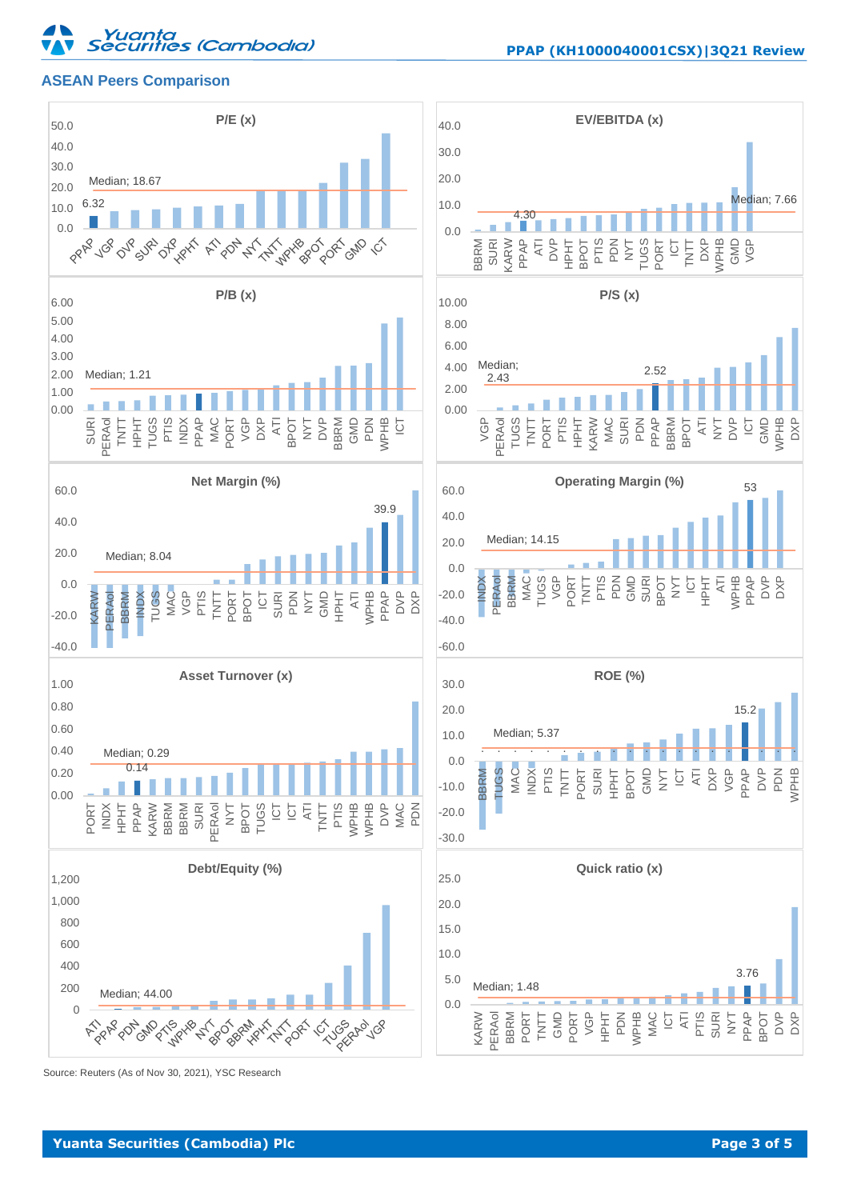# Yuanta<br>Securities (Cambodia)

# **ASEAN Peers Comparison**





Source: Reuters (As of Nov 30, 2021), YSC Research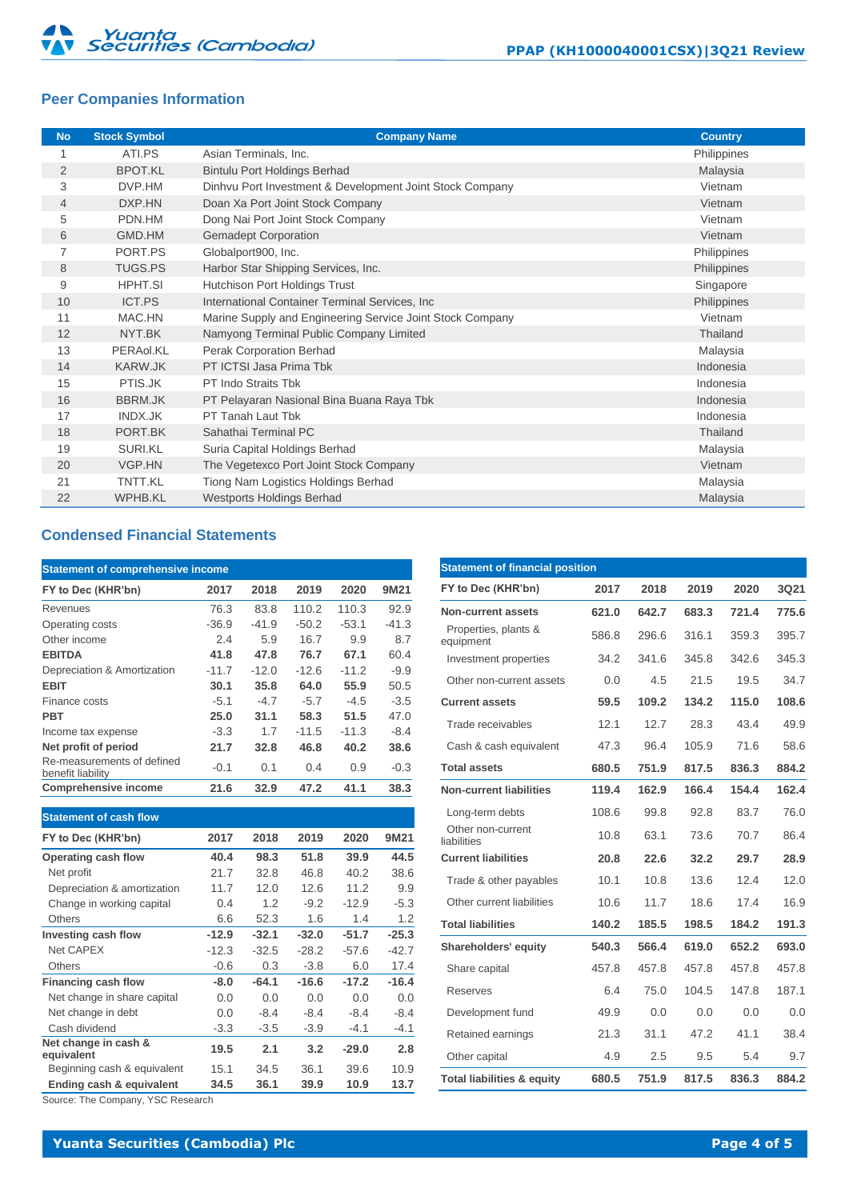# **Peer Companies Information**

| <b>No</b>      | <b>Stock Symbol</b> | <b>Company Name</b>                                       | <b>Country</b> |
|----------------|---------------------|-----------------------------------------------------------|----------------|
|                | ATI.PS              | Asian Terminals, Inc.                                     | Philippines    |
| $\overline{2}$ | <b>BPOT.KL</b>      | <b>Bintulu Port Holdings Berhad</b>                       | Malaysia       |
| 3              | DVP.HM              | Dinhvu Port Investment & Development Joint Stock Company  | Vietnam        |
| $\overline{4}$ | DXP.HN              | Doan Xa Port Joint Stock Company                          | Vietnam        |
| 5              | PDN.HM              | Dong Nai Port Joint Stock Company                         | Vietnam        |
| 6              | GMD.HM              | <b>Gemadept Corporation</b>                               | Vietnam        |
| 7              | PORT.PS             | Globalport900, Inc.                                       | Philippines    |
| 8              | <b>TUGS.PS</b>      | Harbor Star Shipping Services, Inc.                       | Philippines    |
| 9              | <b>HPHT.SI</b>      | Hutchison Port Holdings Trust                             | Singapore      |
| 10             | ICT.PS              | International Container Terminal Services, Inc.           | Philippines    |
| 11             | MAC.HN              | Marine Supply and Engineering Service Joint Stock Company | Vietnam        |
| 12             | NYT.BK              | Namyong Terminal Public Company Limited                   | Thailand       |
| 13             | PERAol.KL           | <b>Perak Corporation Berhad</b>                           | Malaysia       |
| 14             | <b>KARW.JK</b>      | PT ICTSI Jasa Prima Tbk                                   | Indonesia      |
| 15             | PTIS.JK             | PT Indo Straits Tbk                                       | Indonesia      |
| 16             | <b>BBRM.JK</b>      | PT Pelayaran Nasional Bina Buana Raya Tbk                 | Indonesia      |
| 17             | INDX.JK             | PT Tanah Laut Tbk                                         | Indonesia      |
| 18             | PORT.BK             | Sahathai Terminal PC                                      | Thailand       |
| 19             | <b>SURI.KL</b>      | Suria Capital Holdings Berhad                             | Malaysia       |
| 20             | VGP.HN              | The Vegetexco Port Joint Stock Company                    | Vietnam        |
| 21             | TNTT.KL             | Tiong Nam Logistics Holdings Berhad                       | Malaysia       |
| 22             | <b>WPHB.KL</b>      | <b>Westports Holdings Berhad</b>                          | Malaysia       |

# **Condensed Financial Statements**

| <b>Statement of comprehensive income</b>        |         |         |         |         |         |  |  |
|-------------------------------------------------|---------|---------|---------|---------|---------|--|--|
| FY to Dec (KHR'bn)                              | 2017    | 2018    | 2019    | 2020    | 9M21    |  |  |
| Revenues                                        | 76.3    | 83.8    | 110.2   | 110.3   | 92.9    |  |  |
| Operating costs                                 | $-36.9$ | $-41.9$ | $-50.2$ | $-53.1$ | $-41.3$ |  |  |
| Other income                                    | 2.4     | 5.9     | 16.7    | 9.9     | 8.7     |  |  |
| <b>EBITDA</b>                                   | 41.8    | 47.8    | 76.7    | 67.1    | 60.4    |  |  |
| Depreciation & Amortization                     | $-11.7$ | $-12.0$ | $-12.6$ | $-11.2$ | $-9.9$  |  |  |
| <b>EBIT</b>                                     | 30.1    | 35.8    | 64.0    | 55.9    | 50.5    |  |  |
| Finance costs                                   | $-5.1$  | $-4.7$  | $-5.7$  | $-4.5$  | $-3.5$  |  |  |
| <b>PBT</b>                                      | 25.0    | 31.1    | 58.3    | 51.5    | 47.0    |  |  |
| Income tax expense                              | $-3.3$  | 1.7     | $-11.5$ | $-11.3$ | $-8.4$  |  |  |
| Net profit of period                            | 21.7    | 32.8    | 46.8    | 40.2    | 38.6    |  |  |
| Re-measurements of defined<br>benefit liability | $-0.1$  | 0.1     | 0.4     | 0.9     | $-0.3$  |  |  |
| <b>Comprehensive income</b>                     | 21.6    | 32.9    | 47.2    | 41.1    | 38.3    |  |  |

| <b>Statement of cash flow</b>      |         |         |         |         |         |
|------------------------------------|---------|---------|---------|---------|---------|
| FY to Dec (KHR'bn)                 | 2017    | 2018    | 2019    | 2020    | 9M21    |
| Operating cash flow                | 40.4    | 98.3    | 51.8    | 39.9    | 44.5    |
| Net profit                         | 21.7    | 32.8    | 46.8    | 40.2    | 38.6    |
| Depreciation & amortization        | 11.7    | 12.0    | 12.6    | 11.2    | 9.9     |
| Change in working capital          | 0.4     | 1.2     | $-9.2$  | $-12.9$ | $-5.3$  |
| Others                             | 6.6     | 52.3    | 1.6     | 1.4     | 1.2     |
| Investing cash flow                | $-12.9$ | $-32.1$ | $-32.0$ | $-51.7$ | $-25.3$ |
| Net CAPEX                          | $-12.3$ | $-32.5$ | $-28.2$ | $-57.6$ | $-42.7$ |
| Others                             | $-0.6$  | 0.3     | $-3.8$  | 6.0     | 17.4    |
| Financing cash flow                | $-8.0$  | $-64.1$ | $-16.6$ | $-17.2$ | $-16.4$ |
| Net change in share capital        | 0.0     | 0.0     | 0.0     | 0.0     | 0.0     |
| Net change in debt                 | 0.0     | $-8.4$  | $-8.4$  | $-8.4$  | $-8.4$  |
| Cash dividend                      | $-3.3$  | $-3.5$  | $-3.9$  | $-4.1$  | $-4.1$  |
| Net change in cash &<br>equivalent | 19.5    | 2.1     | 3.2     | $-29.0$ | 2.8     |
| Beginning cash & equivalent        | 15.1    | 34.5    | 36.1    | 39.6    | 10.9    |
| Ending cash & equivalent           | 34.5    | 36.1    | 39.9    | 10.9    | 13.7    |

Source: The Company, YSC Research

|                                       | <b>Statement of financial position</b> |       |       |       |       |  |  |  |  |
|---------------------------------------|----------------------------------------|-------|-------|-------|-------|--|--|--|--|
| FY to Dec (KHR'bn)                    | 2017                                   | 2018  | 2019  | 2020  | 3Q21  |  |  |  |  |
| Non-current assets                    | 621.0                                  | 642.7 | 683.3 | 721.4 | 775.6 |  |  |  |  |
| Properties, plants &<br>equipment     | 586.8                                  | 296.6 | 316.1 | 359.3 | 395.7 |  |  |  |  |
| Investment properties                 | 34.2                                   | 341.6 | 345.8 | 342.6 | 345.3 |  |  |  |  |
| Other non-current assets              | 0.0                                    | 4.5   | 21.5  | 19.5  | 34.7  |  |  |  |  |
| <b>Current assets</b>                 | 59.5                                   | 109.2 | 134.2 | 115.0 | 108.6 |  |  |  |  |
| Trade receivables                     | 12.1                                   | 12.7  | 28.3  | 43.4  | 49.9  |  |  |  |  |
| Cash & cash equivalent                | 47.3                                   | 96.4  | 105.9 | 71.6  | 58.6  |  |  |  |  |
| <b>Total assets</b>                   | 680.5                                  | 751.9 | 817.5 | 836.3 | 884.2 |  |  |  |  |
| <b>Non-current liabilities</b>        | 119.4                                  | 162.9 | 166.4 | 154.4 | 162.4 |  |  |  |  |
| Long-term debts                       | 108.6                                  | 99.8  | 92.8  | 83.7  | 76.0  |  |  |  |  |
| Other non-current<br>liabilities      | 10.8                                   | 63.1  | 73.6  | 70.7  | 86.4  |  |  |  |  |
| <b>Current liabilities</b>            | 20.8                                   | 22.6  | 32.2  | 29.7  | 28.9  |  |  |  |  |
| Trade & other payables                | 10.1                                   | 10.8  | 13.6  | 12.4  | 12.0  |  |  |  |  |
| Other current liabilities             | 10.6                                   | 11.7  | 18.6  | 17.4  | 16.9  |  |  |  |  |
| <b>Total liabilities</b>              | 140.2                                  | 185.5 | 198.5 | 184.2 | 191.3 |  |  |  |  |
| Shareholders' equity                  | 540.3                                  | 566.4 | 619.0 | 652.2 | 693.0 |  |  |  |  |
| Share capital                         | 457.8                                  | 457.8 | 457.8 | 457.8 | 457.8 |  |  |  |  |
| Reserves                              | 6.4                                    | 75.0  | 104.5 | 147.8 | 187.1 |  |  |  |  |
| Development fund                      | 49.9                                   | 0.0   | 0.0   | 0.0   | 0.0   |  |  |  |  |
| Retained earnings                     | 21.3                                   | 31.1  | 47.2  | 41.1  | 38.4  |  |  |  |  |
| Other capital                         | 4.9                                    | 2.5   | 9.5   | 5.4   | 9.7   |  |  |  |  |
| <b>Total liabilities &amp; equity</b> | 680.5                                  | 751.9 | 817.5 | 836.3 | 884.2 |  |  |  |  |